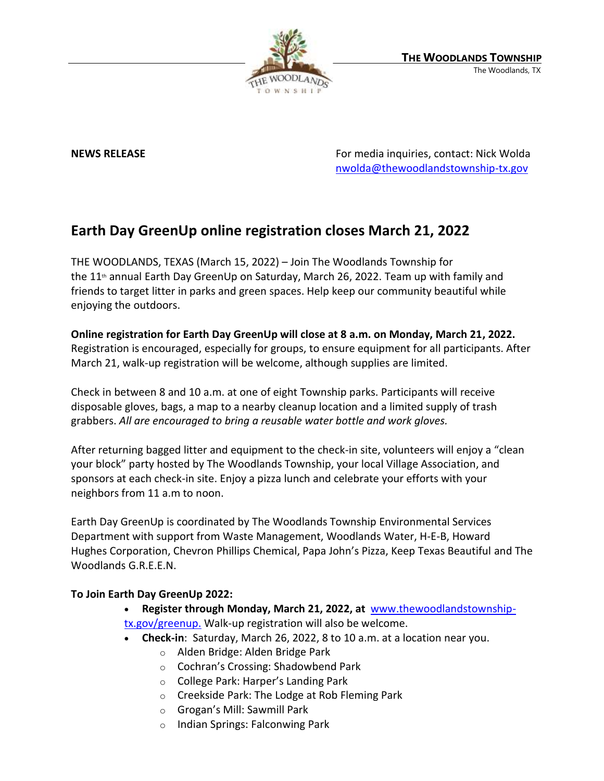

**NEWS RELEASE** For media inquiries, contact: Nick Wolda **NEWS** RELEASE [nwolda@thewoodlandstownship-tx.gov](mailto:nwolda@thewoodlandstownship-tx.gov)

## **Earth Day GreenUp online registration closes March 21, 2022**

THE WOODLANDS, TEXAS (March 15, 2022) – Join The Woodlands Township for the 11<sup>th</sup> annual Earth Day GreenUp on Saturday, March 26, 2022. Team up with family and friends to target litter in parks and green spaces. Help keep our community beautiful while enjoying the outdoors.

**Online registration for Earth Day GreenUp will close at 8 a.m. on Monday, March 21, 2022.** Registration is encouraged, especially for groups, to ensure equipment for all participants. After March 21, walk-up registration will be welcome, although supplies are limited.

Check in between 8 and 10 a.m. at one of eight Township parks. Participants will receive disposable gloves, bags, a map to a nearby cleanup location and a limited supply of trash grabbers. *All are encouraged to bring a reusable water bottle and work gloves.*

After returning bagged litter and equipment to the check-in site, volunteers will enjoy a "clean your block" party hosted by The Woodlands Township, your local Village Association, and sponsors at each check-in site. Enjoy a pizza lunch and celebrate your efforts with your neighbors from 11 a.m to noon.

Earth Day GreenUp is coordinated by The Woodlands Township Environmental Services Department with support from Waste Management, Woodlands Water, H-E-B, Howard Hughes Corporation, Chevron Phillips Chemical, Papa John's Pizza, Keep Texas Beautiful and The Woodlands G.R.E.E.N.

## **To Join Earth Day GreenUp 2022:**

- **Register through Monday, March 21, 2022, at** [www.thewoodlandstownship](http://www.thewoodlandstownship-tx.gov/greenup)[tx.gov/greenup.](http://www.thewoodlandstownship-tx.gov/greenup) Walk-up registration will also be welcome.
- **Check-in**: Saturday, March 26, 2022, 8 to 10 a.m. at a location near you.
	- o Alden Bridge: Alden Bridge Park
	- o Cochran's Crossing: Shadowbend Park
	- o College Park: Harper's Landing Park
	- o Creekside Park: The Lodge at Rob Fleming Park
	- o Grogan's Mill: Sawmill Park
	- o Indian Springs: Falconwing Park